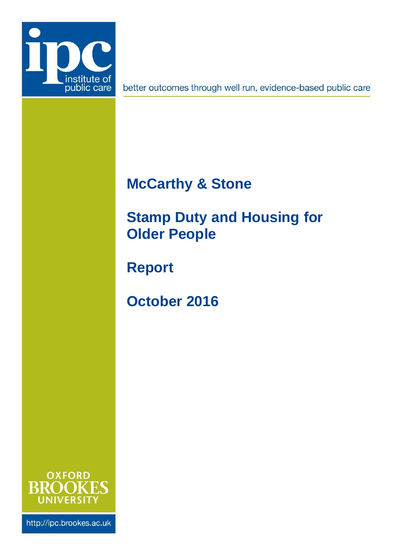

better outcomes through well run, evidence-based public care

# **McCarthy & Stone**

<span id="page-0-0"></span>**Stamp Duty and Housing for Older People**

**Report**

**October 2016**



http://ipc.brookes.ac.uk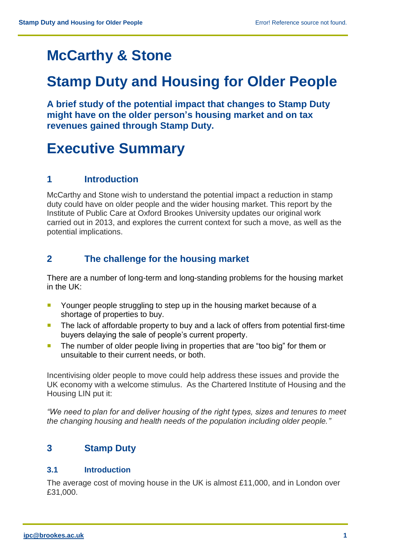# **McCarthy & Stone**

## **[Stamp Duty and Housing for](#page-0-0) Older People**

**A brief study of the potential impact that changes to Stamp Duty might have on the older person's housing market and on tax revenues gained through Stamp Duty.**

## **Executive Summary**

## **1 Introduction**

McCarthy and Stone wish to understand the potential impact a reduction in stamp duty could have on older people and the wider housing market. This report by the Institute of Public Care at Oxford Brookes University updates our original work carried out in 2013, and explores the current context for such a move, as well as the potential implications.

## **2 The challenge for the housing market**

There are a number of long-term and long-standing problems for the housing market in the UK:

- **Younger people struggling to step up in the housing market because of a** shortage of properties to buy.
- The lack of affordable property to buy and a lack of offers from potential first-time buyers delaying the sale of people's current property.
- **The number of older people living in properties that are "too big" for them or** unsuitable to their current needs, or both.

Incentivising older people to move could help address these issues and provide the UK economy with a welcome stimulus. As the Chartered Institute of Housing and the Housing LIN put it:

*"We need to plan for and deliver housing of the right types, sizes and tenures to meet the changing housing and health needs of the population including older people."*

## **3 Stamp Duty**

#### **3.1 Introduction**

The average cost of moving house in the UK is almost £11,000, and in London over £31,000.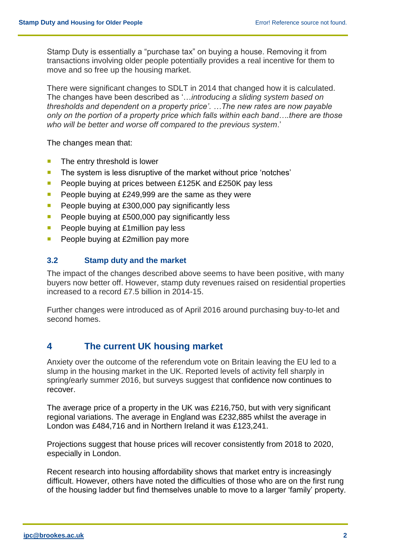Stamp Duty is essentially a "purchase tax" on buying a house. Removing it from transactions involving older people potentially provides a real incentive for them to move and so free up the housing market.

There were significant changes to SDLT in 2014 that changed how it is calculated. The changes have been described as '…*introducing a sliding system based on thresholds and dependent on a property price'*. *…The new rates are now payable only on the portion of a property price which falls within each band….there are those who will be better and worse off compared to the previous system*.'

The changes mean that:

- $\blacksquare$  The entry threshold is lower
- The system is less disruptive of the market without price 'notches'
- **People buying at prices between £125K and £250K pay less**
- **People buying at £249,999 are the same as they were**
- People buying at  $£300,000$  pay significantly less
- **People buying at £500,000 pay significantly less**
- People buying at  $£1$ million pay less
- **People buying at £2million pay more**

#### **3.2 Stamp duty and the market**

The impact of the changes described above seems to have been positive, with many buyers now better off. However, stamp duty revenues raised on residential properties increased to a record £7.5 billion in 2014-15.

Further changes were introduced as of April 2016 around purchasing buy-to-let and second homes.

### **4 The current UK housing market**

Anxiety over the outcome of the referendum vote on Britain leaving the EU led to a slump in the housing market in the UK. Reported levels of activity fell sharply in spring/early summer 2016, but surveys suggest that confidence now continues to recover.

The average price of a property in the UK was £216,750, but with very significant regional variations. The average in England was £232,885 whilst the average in London was £484,716 and in Northern Ireland it was £123,241.

Projections suggest that house prices will recover consistently from 2018 to 2020, especially in London.

Recent research into housing affordability shows that market entry is increasingly difficult. However, others have noted the difficulties of those who are on the first rung of the housing ladder but find themselves unable to move to a larger 'family' property.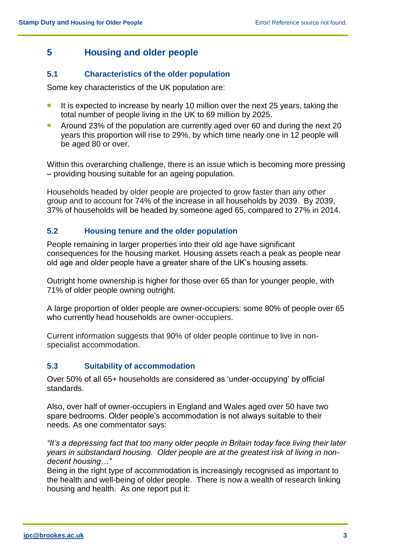## **5 Housing and older people**

#### **5.1 Characteristics of the older population**

Some key characteristics of the UK population are:

- It is expected to increase by nearly 10 million over the next 25 years, taking the total number of people living in the UK to 69 million by 2025.
- Around 23% of the population are currently aged over 60 and during the next 20 years this proportion will rise to 29%, by which time nearly one in 12 people will be aged 80 or over.

Within this overarching challenge, there is an issue which is becoming more pressing – providing housing suitable for an ageing population.

Households headed by older people are projected to grow faster than any other group and to account for 74% of the increase in all households by 2039. By 2039, 37% of households will be headed by someone aged 65, compared to 27% in 2014.

#### **5.2 Housing tenure and the older population**

People remaining in larger properties into their old age have significant consequences for the housing market. Housing assets reach a peak as people near old age and older people have a greater share of the UK's housing assets.

Outright home ownership is higher for those over 65 than for younger people, with 71% of older people owning outright.

A large proportion of older people are owner-occupiers: some 80% of people over 65 who currently head households are owner-occupiers.

Current information suggests that 90% of older people continue to live in nonspecialist accommodation.

#### **5.3 Suitability of accommodation**

Over 50% of all 65+ households are considered as 'under-occupying' by official standards.

Also, over half of owner-occupiers in England and Wales aged over 50 have two spare bedrooms. Older people's accommodation is not always suitable to their needs. As one commentator says:

*"It's a depressing fact that too many older people in Britain today face living their later years in substandard housing. Older people are at the greatest risk of living in nondecent housing…"*

Being in the right type of accommodation is increasingly recognised as important to the health and well-being of older people. There is now a wealth of research linking housing and health. As one report put it: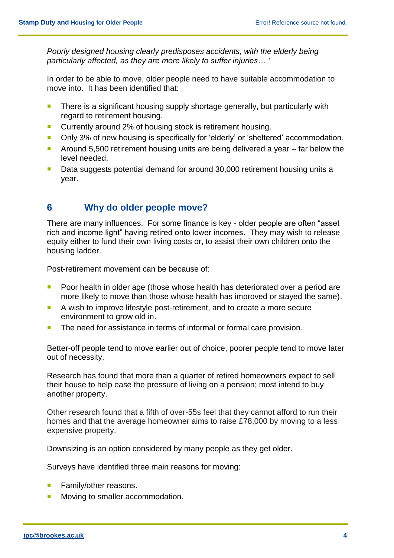*Poorly designed housing clearly predisposes accidents, with the elderly being particularly affected, as they are more likely to suffer injuries… '*

In order to be able to move, older people need to have suitable accommodation to move into. It has been identified that:

- **There is a significant housing supply shortage generally, but particularly with** regard to retirement housing.
- Currently around 2% of housing stock is retirement housing.
- **Diacy 3% of new housing is specifically for 'elderly' or 'sheltered' accommodation.**
- Around 5,500 retirement housing units are being delivered a year  $-$  far below the level needed.
- Data suggests potential demand for around 30,000 retirement housing units a year.

#### **6 Why do older people move?**

There are many influences. For some finance is key - older people are often "asset rich and income light" having retired onto lower incomes. They may wish to release equity either to fund their own living costs or, to assist their own children onto the housing ladder.

Post-retirement movement can be because of:

- **Poor health in older age (those whose health has deteriorated over a period are** more likely to move than those whose health has improved or stayed the same).
- A wish to improve lifestyle post-retirement, and to create a more secure environment to grow old in.
- The need for assistance in terms of informal or formal care provision.

Better-off people tend to move earlier out of choice, poorer people tend to move later out of necessity.

Research has found that more than a quarter of retired homeowners expect to sell their house to help ease the pressure of living on a pension; most intend to buy another property.

Other research found that a fifth of over-55s feel that they cannot afford to run their homes and that the average homeowner aims to raise £78,000 by moving to a less expensive property.

Downsizing is an option considered by many people as they get older.

Surveys have identified three main reasons for moving:

- Family/other reasons.
- **Moving to smaller accommodation.**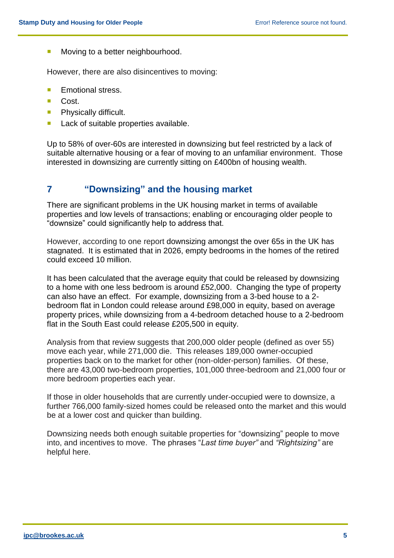Moving to a better neighbourhood.

However, there are also disincentives to moving:

- **Emotional stress.**
- Cost.
- **Physically difficult.**
- **Lack of suitable properties available.**

Up to 58% of over-60s are interested in downsizing but feel restricted by a lack of suitable alternative housing or a fear of moving to an unfamiliar environment. Those interested in downsizing are currently sitting on £400bn of housing wealth.

## **7 "Downsizing" and the housing market**

There are significant problems in the UK housing market in terms of available properties and low levels of transactions; enabling or encouraging older people to "downsize" could significantly help to address that.

However, according to one report downsizing amongst the over 65s in the UK has stagnated. It is estimated that in 2026, empty bedrooms in the homes of the retired could exceed 10 million.

It has been calculated that the average equity that could be released by downsizing to a home with one less bedroom is around £52,000. Changing the type of property can also have an effect. For example, downsizing from a 3-bed house to a 2 bedroom flat in London could release around £98,000 in equity, based on average property prices, while downsizing from a 4-bedroom detached house to a 2-bedroom flat in the South East could release £205,500 in equity.

Analysis from that review suggests that 200,000 older people (defined as over 55) move each year, while 271,000 die. This releases 189,000 owner-occupied properties back on to the market for other (non-older-person) families. Of these, there are 43,000 two-bedroom properties, 101,000 three-bedroom and 21,000 four or more bedroom properties each year.

If those in older households that are currently under-occupied were to downsize, a further 766,000 family-sized homes could be released onto the market and this would be at a lower cost and quicker than building.

Downsizing needs both enough suitable properties for "downsizing" people to move into, and incentives to move. The phrases "*Last time buyer"* and *"Rightsizing"* are helpful here.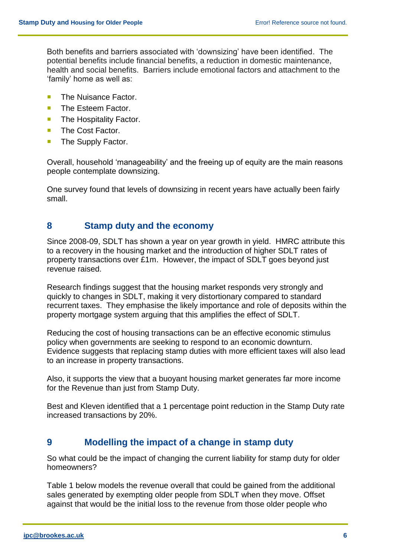Both benefits and barriers associated with 'downsizing' have been identified. The potential benefits include financial benefits, a reduction in domestic maintenance, health and social benefits. Barriers include emotional factors and attachment to the 'family' home as well as:

- **The Nuisance Factor.**
- The Esteem Factor.
- **The Hospitality Factor.**
- **The Cost Factor.**
- The Supply Factor.

Overall, household 'manageability' and the freeing up of equity are the main reasons people contemplate downsizing.

One survey found that levels of downsizing in recent years have actually been fairly small.

#### **8 Stamp duty and the economy**

Since 2008-09, SDLT has shown a year on year growth in yield. HMRC attribute this to a recovery in the housing market and the introduction of higher SDLT rates of property transactions over £1m. However, the impact of SDLT goes beyond just revenue raised.

Research findings suggest that the housing market responds very strongly and quickly to changes in SDLT, making it very distortionary compared to standard recurrent taxes. They emphasise the likely importance and role of deposits within the property mortgage system arguing that this amplifies the effect of SDLT.

Reducing the cost of housing transactions can be an effective economic stimulus policy when governments are seeking to respond to an economic downturn. Evidence suggests that replacing stamp duties with more efficient taxes will also lead to an increase in property transactions.

Also, it supports the view that a buoyant housing market generates far more income for the Revenue than just from Stamp Duty.

Best and Kleven identified that a 1 percentage point reduction in the Stamp Duty rate increased transactions by 20%.

#### **9 Modelling the impact of a change in stamp duty**

So what could be the impact of changing the current liability for stamp duty for older homeowners?

Table 1 below models the revenue overall that could be gained from the additional sales generated by exempting older people from SDLT when they move. Offset against that would be the initial loss to the revenue from those older people who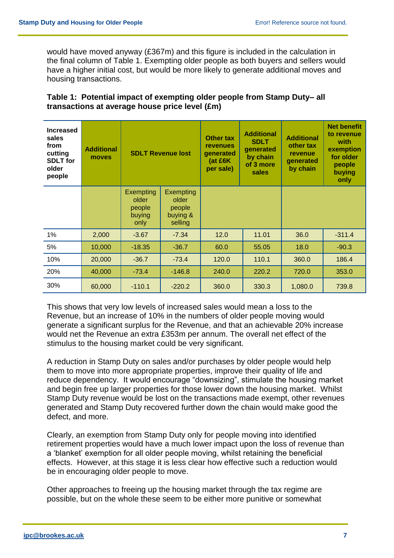would have moved anyway (£367m) and this figure is included in the calculation in the final column of Table 1. Exempting older people as both buyers and sellers would have a higher initial cost, but would be more likely to generate additional moves and housing transactions.

#### **Table 1: Potential impact of exempting older people from Stamp Duty– all transactions at average house price level (£m)**

| <b>Increased</b><br>sales<br>from<br>cutting<br><b>SDLT</b> for<br>older<br>people | <b>Additional</b><br>moves | <b>SDLT Revenue lost</b>                       |                                                     | <b>Other tax</b><br><b>revenues</b><br>qenerated<br>(at £6K)<br>per sale) | <b>Additional</b><br><b>SDLT</b><br>generated<br>by chain<br>of 3 more<br>sales | <b>Additional</b><br>other tax<br>revenue<br>generated<br>by chain | <b>Net benefit</b><br>to revenue<br>with<br>exemption<br>for older<br>people<br>buying<br>only |
|------------------------------------------------------------------------------------|----------------------------|------------------------------------------------|-----------------------------------------------------|---------------------------------------------------------------------------|---------------------------------------------------------------------------------|--------------------------------------------------------------------|------------------------------------------------------------------------------------------------|
|                                                                                    |                            | Exempting<br>older<br>people<br>buying<br>only | Exempting<br>older<br>people<br>buying &<br>selling |                                                                           |                                                                                 |                                                                    |                                                                                                |
| 1%                                                                                 | 2,000                      | $-3.67$                                        | $-7.34$                                             | 12.0                                                                      | 11.01                                                                           | 36.0                                                               | $-311.4$                                                                                       |
| 5%                                                                                 | 10,000                     | $-18.35$                                       | $-36.7$                                             | 60.0                                                                      | 55.05                                                                           | 18.0                                                               | $-90.3$                                                                                        |
| 10%                                                                                | 20,000                     | $-36.7$                                        | $-73.4$                                             | 120.0                                                                     | 110.1                                                                           | 360.0                                                              | 186.4                                                                                          |
| 20%                                                                                | 40,000                     | $-73.4$                                        | $-146.8$                                            | 240.0                                                                     | 220.2                                                                           | 720.0                                                              | 353.0                                                                                          |
| 30%                                                                                | 60,000                     | $-110.1$                                       | $-220.2$                                            | 360.0                                                                     | 330.3                                                                           | 1,080.0                                                            | 739.8                                                                                          |

This shows that very low levels of increased sales would mean a loss to the Revenue, but an increase of 10% in the numbers of older people moving would generate a significant surplus for the Revenue, and that an achievable 20% increase would net the Revenue an extra £353m per annum. The overall net effect of the stimulus to the housing market could be very significant.

A reduction in Stamp Duty on sales and/or purchases by older people would help them to move into more appropriate properties, improve their quality of life and reduce dependency. It would encourage "downsizing", stimulate the housing market and begin free up larger properties for those lower down the housing market. Whilst Stamp Duty revenue would be lost on the transactions made exempt, other revenues generated and Stamp Duty recovered further down the chain would make good the defect, and more.

Clearly, an exemption from Stamp Duty only for people moving into identified retirement properties would have a much lower impact upon the loss of revenue than a 'blanket' exemption for all older people moving, whilst retaining the beneficial effects. However, at this stage it is less clear how effective such a reduction would be in encouraging older people to move.

Other approaches to freeing up the housing market through the tax regime are possible, but on the whole these seem to be either more punitive or somewhat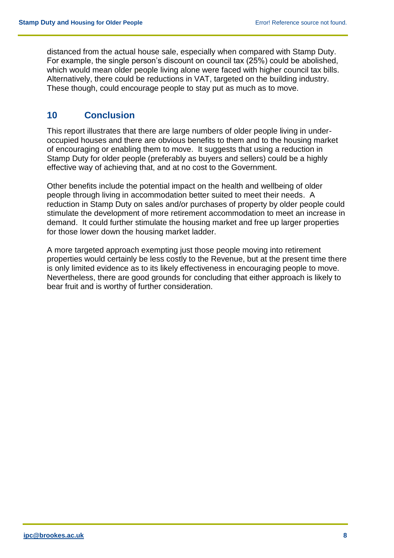distanced from the actual house sale, especially when compared with Stamp Duty. For example, the single person's discount on council tax (25%) could be abolished, which would mean older people living alone were faced with higher council tax bills. Alternatively, there could be reductions in VAT, targeted on the building industry. These though, could encourage people to stay put as much as to move.

## **10 Conclusion**

This report illustrates that there are large numbers of older people living in underoccupied houses and there are obvious benefits to them and to the housing market of encouraging or enabling them to move. It suggests that using a reduction in Stamp Duty for older people (preferably as buyers and sellers) could be a highly effective way of achieving that, and at no cost to the Government.

Other benefits include the potential impact on the health and wellbeing of older people through living in accommodation better suited to meet their needs. A reduction in Stamp Duty on sales and/or purchases of property by older people could stimulate the development of more retirement accommodation to meet an increase in demand. It could further stimulate the housing market and free up larger properties for those lower down the housing market ladder.

A more targeted approach exempting just those people moving into retirement properties would certainly be less costly to the Revenue, but at the present time there is only limited evidence as to its likely effectiveness in encouraging people to move. Nevertheless, there are good grounds for concluding that either approach is likely to bear fruit and is worthy of further consideration.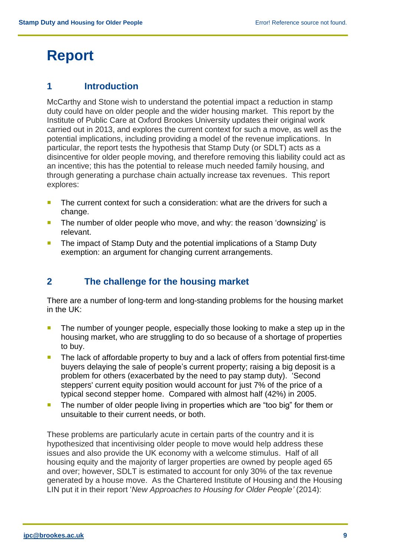# **Report**

### **1 Introduction**

McCarthy and Stone wish to understand the potential impact a reduction in stamp duty could have on older people and the wider housing market. This report by the Institute of Public Care at Oxford Brookes University updates their original work carried out in 2013, and explores the current context for such a move, as well as the potential implications, including providing a model of the revenue implications. In particular, the report tests the hypothesis that Stamp Duty (or SDLT) acts as a disincentive for older people moving, and therefore removing this liability could act as an incentive; this has the potential to release much needed family housing, and through generating a purchase chain actually increase tax revenues. This report explores:

- The current context for such a consideration: what are the drivers for such a change.
- The number of older people who move, and why: the reason 'downsizing' is relevant.
- The impact of Stamp Duty and the potential implications of a Stamp Duty exemption: an argument for changing current arrangements.

## **2 The challenge for the housing market**

There are a number of long-term and long-standing problems for the housing market in the UK:

- The number of younger people, especially those looking to make a step up in the housing market, who are struggling to do so because of a shortage of properties to buy.
- The lack of affordable property to buy and a lack of offers from potential first-time buyers delaying the sale of people's current property; raising a big deposit is a problem for others (exacerbated by the need to pay stamp duty). 'Second steppers' current equity position would account for just 7% of the price of a typical second stepper home. Compared with almost half (42%) in 2005.
- The number of older people living in properties which are "too big" for them or unsuitable to their current needs, or both.

These problems are particularly acute in certain parts of the country and it is hypothesized that incentivising older people to move would help address these issues and also provide the UK economy with a welcome stimulus. Half of all housing equity and the majority of larger properties are owned by people aged 65 and over; however, SDLT is estimated to account for only 30% of the tax revenue generated by a house move. As the Chartered Institute of Housing and the Housing LIN put it in their report '*New Approaches to Housing for Older People'* (2014):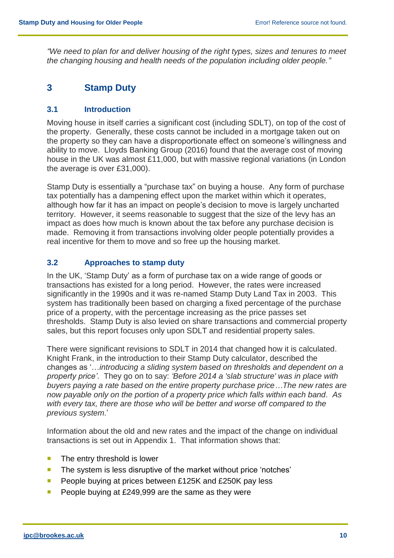*"We need to plan for and deliver housing of the right types, sizes and tenures to meet the changing housing and health needs of the population including older people."*

### **3 Stamp Duty**

#### **3.1 Introduction**

Moving house in itself carries a significant cost (including SDLT), on top of the cost of the property. Generally, these costs cannot be included in a mortgage taken out on the property so they can have a disproportionate effect on someone's willingness and ability to move. Lloyds Banking Group (2016) found that the average cost of moving house in the UK was almost £11,000, but with massive regional variations (in London the average is over £31,000).

Stamp Duty is essentially a "purchase tax" on buying a house. Any form of purchase tax potentially has a dampening effect upon the market within which it operates, although how far it has an impact on people's decision to move is largely uncharted territory. However, it seems reasonable to suggest that the size of the levy has an impact as does how much is known about the tax before any purchase decision is made. Removing it from transactions involving older people potentially provides a real incentive for them to move and so free up the housing market.

#### **3.2 Approaches to stamp duty**

In the UK, 'Stamp Duty' as a form of purchase tax on a wide range of goods or transactions has existed for a long period. However, the rates were increased significantly in the 1990s and it was re-named Stamp Duty Land Tax in 2003. This system has traditionally been based on charging a fixed percentage of the purchase price of a property, with the percentage increasing as the price passes set thresholds. Stamp Duty is also levied on share transactions and commercial property sales, but this report focuses only upon SDLT and residential property sales.

There were significant revisions to SDLT in 2014 that changed how it is calculated. Knight Frank, in the introduction to their Stamp Duty calculator, described the changes as '…*introducing a sliding system based on thresholds and dependent on a property price'*. They go on to say: *'Before 2014 a 'slab structure' was in place with buyers paying a rate based on the entire property purchase price…The new rates are now payable only on the portion of a property price which falls within each band. As with every tax, there are those who will be better and worse off compared to the previous system*.'

Information about the old and new rates and the impact of the change on individual transactions is set out in Appendix 1. That information shows that:

- $\blacksquare$  The entry threshold is lower
- The system is less disruptive of the market without price 'notches'
- **People buying at prices between £125K and £250K pay less**
- People buying at £249,999 are the same as they were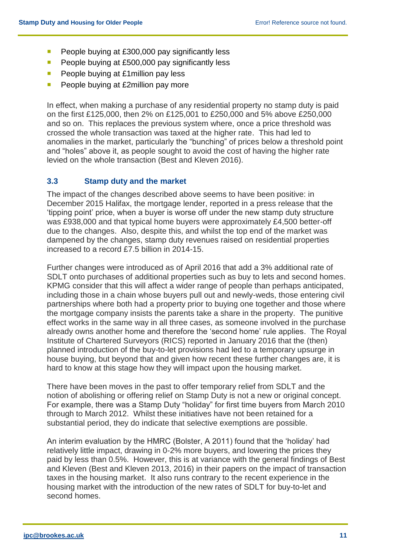- People buying at  $£300,000$  pay significantly less
- $\blacksquare$  People buying at £500,000 pay significantly less
- **People buying at £1million pay less**
- People buying at  $£2$ million pay more

In effect, when making a purchase of any residential property no stamp duty is paid on the first £125,000, then 2% on £125,001 to £250,000 and 5% above £250,000 and so on. This replaces the previous system where, once a price threshold was crossed the whole transaction was taxed at the higher rate. This had led to anomalies in the market, particularly the "bunching" of prices below a threshold point and "holes" above it, as people sought to avoid the cost of having the higher rate levied on the whole transaction (Best and Kleven 2016).

#### **3.3 Stamp duty and the market**

The impact of the changes described above seems to have been positive: in December 2015 Halifax, the mortgage lender, reported in a press release that the 'tipping point' price, when a buyer is worse off under the new stamp duty structure was £938,000 and that typical home buyers were approximately £4,500 better-off due to the changes. Also, despite this, and whilst the top end of the market was dampened by the changes, stamp duty revenues raised on residential properties increased to a record £7.5 billion in 2014-15.

Further changes were introduced as of April 2016 that add a 3% additional rate of SDLT onto purchases of additional properties such as buy to lets and second homes. KPMG consider that this will affect a wider range of people than perhaps anticipated, including those in a chain whose buyers pull out and newly-weds, those entering civil partnerships where both had a property prior to buying one together and those where the mortgage company insists the parents take a share in the property. The punitive effect works in the same way in all three cases, as someone involved in the purchase already owns another home and therefore the 'second home' rule applies. The Royal Institute of Chartered Surveyors (RICS) reported in January 2016 that the (then) planned introduction of the buy-to-let provisions had led to a temporary upsurge in house buying, but beyond that and given how recent these further changes are, it is hard to know at this stage how they will impact upon the housing market.

There have been moves in the past to offer temporary relief from SDLT and the notion of abolishing or offering relief on Stamp Duty is not a new or original concept. For example, there was a Stamp Duty "holiday" for first time buyers from March 2010 through to March 2012. Whilst these initiatives have not been retained for a substantial period, they do indicate that selective exemptions are possible.

An interim evaluation by the HMRC (Bolster, A 2011) found that the 'holiday' had relatively little impact, drawing in 0-2% more buyers, and lowering the prices they paid by less than 0.5%. However, this is at variance with the general findings of Best and Kleven (Best and Kleven 2013, 2016) in their papers on the impact of transaction taxes in the housing market. It also runs contrary to the recent experience in the housing market with the introduction of the new rates of SDLT for buy-to-let and second homes.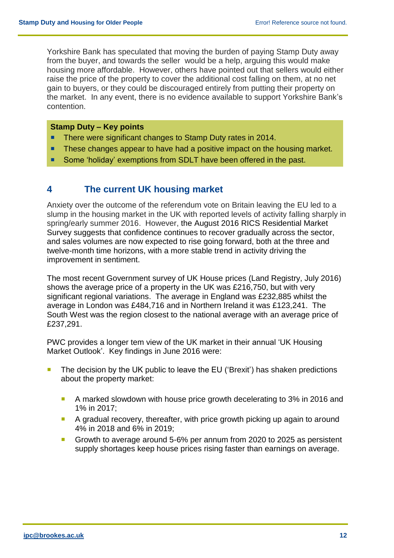Yorkshire Bank has speculated that moving the burden of paying Stamp Duty away from the buyer, and towards the seller would be a help, arguing this would make housing more affordable. However, others have pointed out that sellers would either raise the price of the property to cover the additional cost falling on them, at no net gain to buyers, or they could be discouraged entirely from putting their property on the market. In any event, there is no evidence available to support Yorkshire Bank's contention.

#### **Stamp Duty – Key points**

- **There were significant changes to Stamp Duty rates in 2014.**
- These changes appear to have had a positive impact on the housing market.
- Some 'holiday' exemptions from SDLT have been offered in the past.

### **4 The current UK housing market**

Anxiety over the outcome of the referendum vote on Britain leaving the EU led to a slump in the housing market in the UK with reported levels of activity falling sharply in spring/early summer 2016. However, the August 2016 RICS Residential Market Survey suggests that confidence continues to recover gradually across the sector, and sales volumes are now expected to rise going forward, both at the three and twelve-month time horizons, with a more stable trend in activity driving the improvement in sentiment.

The most recent Government survey of UK House prices (Land Registry, July 2016) shows the average price of a property in the UK was £216,750, but with very significant regional variations. The average in England was £232,885 whilst the average in London was £484,716 and in Northern Ireland it was £123,241. The South West was the region closest to the national average with an average price of £237,291.

PWC provides a longer tem view of the UK market in their annual 'UK Housing Market Outlook'. Key findings in June 2016 were:

- The decision by the UK public to leave the EU ('Brexit') has shaken predictions about the property market:
	- A marked slowdown with house price growth decelerating to 3% in 2016 and 1% in 2017;
	- A gradual recovery, thereafter, with price growth picking up again to around 4% in 2018 and 6% in 2019;
	- Growth to average around 5-6% per annum from 2020 to 2025 as persistent supply shortages keep house prices rising faster than earnings on average.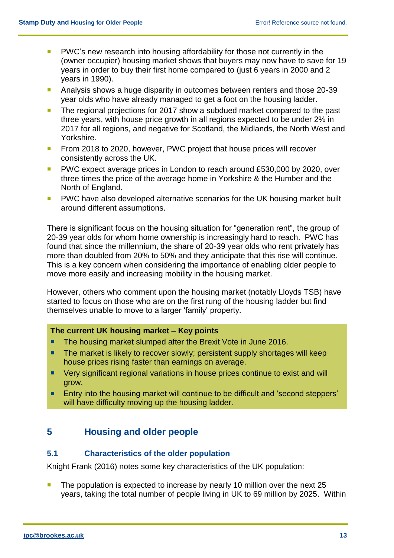- **PWC's new research into housing affordability for those not currently in the** (owner occupier) housing market shows that buyers may now have to save for 19 years in order to buy their first home compared to (just 6 years in 2000 and 2 years in 1990).
- **Analysis shows a huge disparity in outcomes between renters and those 20-39** year olds who have already managed to get a foot on the housing ladder.
- The regional projections for 2017 show a subdued market compared to the past three years, with house price growth in all regions expected to be under 2% in 2017 for all regions, and negative for Scotland, the Midlands, the North West and Yorkshire.
- From 2018 to 2020, however, PWC project that house prices will recover consistently across the UK.
- **PWC** expect average prices in London to reach around £530,000 by 2020, over three times the price of the average home in Yorkshire & the Humber and the North of England.
- **PWC** have also developed alternative scenarios for the UK housing market built around different assumptions.

There is significant focus on the housing situation for "generation rent", the group of 20-39 year olds for whom home ownership is increasingly hard to reach. PWC has found that since the millennium, the share of 20-39 year olds who rent privately has more than doubled from 20% to 50% and they anticipate that this rise will continue. This is a key concern when considering the importance of enabling older people to move more easily and increasing mobility in the housing market.

However, others who comment upon the housing market (notably Lloyds TSB) have started to focus on those who are on the first rung of the housing ladder but find themselves unable to move to a larger 'family' property.

#### **The current UK housing market – Key points**

- **The housing market slumped after the Brexit Vote in June 2016.**
- The market is likely to recover slowly; persistent supply shortages will keep house prices rising faster than earnings on average.
- Very significant regional variations in house prices continue to exist and will grow.
- **Entry into the housing market will continue to be difficult and 'second steppers'** will have difficulty moving up the housing ladder.

## **5 Housing and older people**

#### **5.1 Characteristics of the older population**

Knight Frank (2016) notes some key characteristics of the UK population:

 The population is expected to increase by nearly 10 million over the next 25 years, taking the total number of people living in UK to 69 million by 2025. Within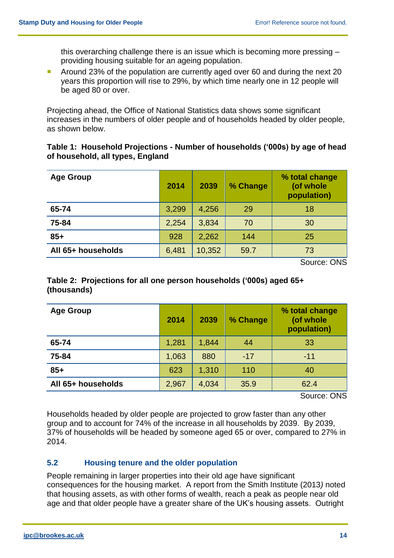this overarching challenge there is an issue which is becoming more pressing – providing housing suitable for an ageing population.

**Around 23% of the population are currently aged over 60 and during the next 20** years this proportion will rise to 29%, by which time nearly one in 12 people will be aged 80 or over.

Projecting ahead, the Office of National Statistics data shows some significant increases in the numbers of older people and of households headed by older people, as shown below.

#### **Table 1: Household Projections - Number of households ('000s) by age of head of household, all types, England**

| <b>Age Group</b>   | 2014  | 2039   | % Change | % total change<br>(of whole<br>population) |
|--------------------|-------|--------|----------|--------------------------------------------|
| 65-74              | 3,299 | 4,256  | 29       | 18                                         |
| 75-84              | 2,254 | 3,834  | 70       | 30                                         |
| $85+$              | 928   | 2,262  | 144      | 25                                         |
| All 65+ households | 6,481 | 10,352 | 59.7     | 73                                         |

Source: ONS

#### **Table 2: Projections for all one person households ('000s) aged 65+ (thousands)**

|                    | 2014  | 2039  | % Change | % total change<br>(of whole<br>population) |
|--------------------|-------|-------|----------|--------------------------------------------|
| 65-74              | 1,281 | 1,844 | 44       | 33                                         |
| 75-84              | 1,063 | 880   | $-17$    | $-11$                                      |
| $85+$              | 623   | 1,310 | 110      | 40                                         |
| All 65+ households | 2,967 | 4,034 | 35.9     | 62.4                                       |

Source: ONS

Households headed by older people are projected to grow faster than any other group and to account for 74% of the increase in all households by 2039. By 2039, 37% of households will be headed by someone aged 65 or over, compared to 27% in 2014.

#### **5.2 Housing tenure and the older population**

People remaining in larger properties into their old age have significant consequences for the housing market. A report from the Smith Institute (2013*)* noted that housing assets, as with other forms of wealth, reach a peak as people near old age and that older people have a greater share of the UK's housing assets. Outright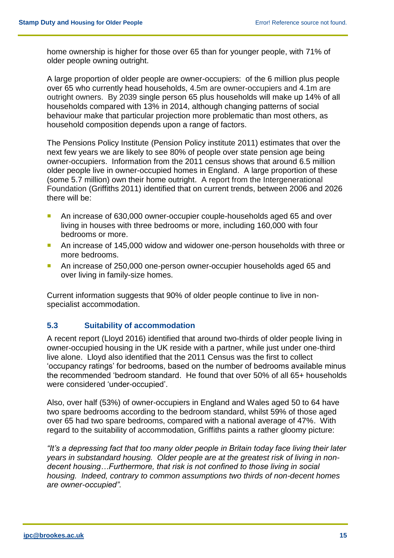home ownership is higher for those over 65 than for younger people, with 71% of older people owning outright.

A large proportion of older people are owner-occupiers: of the 6 million plus people over 65 who currently head households, 4.5m are owner-occupiers and 4.1m are outright owners. By 2039 single person 65 plus households will make up 14% of all households compared with 13% in 2014, although changing patterns of social behaviour make that particular projection more problematic than most others, as household composition depends upon a range of factors.

The Pensions Policy Institute (Pension Policy institute 2011) estimates that over the next few years we are likely to see 80% of people over state pension age being owner-occupiers. Information from the 2011 census shows that around 6.5 million older people live in owner-occupied homes in England. A large proportion of these (some 5.7 million) own their home outright. A report from the Intergenerational Foundation (Griffiths 2011) identified that on current trends, between 2006 and 2026 there will be:

- An increase of 630,000 owner-occupier couple-households aged 65 and over living in houses with three bedrooms or more, including 160,000 with four bedrooms or more.
- An increase of 145,000 widow and widower one-person households with three or more bedrooms.
- An increase of 250,000 one-person owner-occupier households aged 65 and over living in family-size homes.

Current information suggests that 90% of older people continue to live in nonspecialist accommodation.

#### **5.3 Suitability of accommodation**

A recent report (Lloyd 2016) identified that around two-thirds of older people living in owner-occupied housing in the UK reside with a partner, while just under one-third live alone. Lloyd also identified that the 2011 Census was the first to collect 'occupancy ratings' for bedrooms, based on the number of bedrooms available minus the recommended 'bedroom standard. He found that over 50% of all 65+ households were considered 'under-occupied'.

Also, over half (53%) of owner-occupiers in England and Wales aged 50 to 64 have two spare bedrooms according to the bedroom standard, whilst 59% of those aged over 65 had two spare bedrooms, compared with a national average of 47%. With regard to the suitability of accommodation, Griffiths paints a rather gloomy picture:

*"It's a depressing fact that too many older people in Britain today face living their later years in substandard housing. Older people are at the greatest risk of living in nondecent housing…Furthermore, that risk is not confined to those living in social housing. Indeed, contrary to common assumptions two thirds of non-decent homes are owner-occupied".*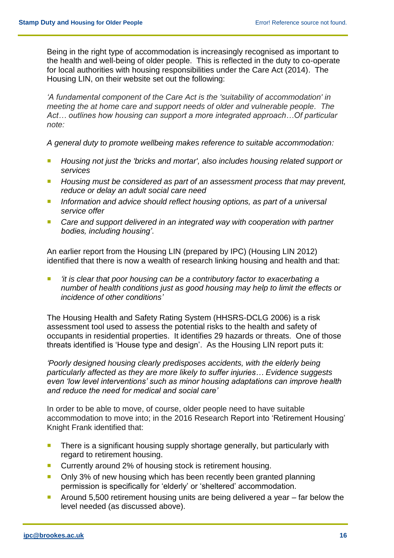Being in the right type of accommodation is increasingly recognised as important to the health and well-being of older people. This is reflected in the duty to co-operate for local authorities with housing responsibilities under the Care Act (2014). The Housing LIN, on their website set out the following:

*'A fundamental component of the Care Act is the 'suitability of accommodation' in meeting the at home care and support needs of older and vulnerable people. The Act… outlines how housing can support a more integrated approach…Of particular note:*

*A general duty to promote wellbeing makes reference to suitable accommodation:*

- **Housing not just the 'bricks and mortar', also includes housing related support or** *services*
- Housing must be considered as part of an assessment process that may prevent, *reduce or delay an adult social care need*
- Information and advice should reflect housing options, as part of a universal *service offer*
- Care and support delivered in an integrated way with cooperation with partner *bodies, including housing'*.

An earlier report from the Housing LIN (prepared by IPC) (Housing LIN 2012) identified that there is now a wealth of research linking housing and health and that:

 *'it is clear that poor housing can be a contributory factor to exacerbating a number of health conditions just as good housing may help to limit the effects or incidence of other conditions'*

The Housing Health and Safety Rating System (HHSRS-DCLG 2006) is a risk assessment tool used to assess the potential risks to the health and safety of occupants in residential properties. It identifies 29 hazards or threats. One of those threats identified is 'House type and design'. As the Housing LIN report puts it:

*'Poorly designed housing clearly predisposes accidents, with the elderly being particularly affected as they are more likely to suffer injuries… Evidence suggests even 'low level interventions' such as minor housing adaptations can improve health and reduce the need for medical and social care'*

In order to be able to move, of course, older people need to have suitable accommodation to move into; in the 2016 Research Report into 'Retirement Housing' Knight Frank identified that:

- **There is a significant housing supply shortage generally, but particularly with** regard to retirement housing.
- Currently around 2% of housing stock is retirement housing.
- Only 3% of new housing which has been recently been granted planning permission is specifically for 'elderly' or 'sheltered' accommodation.
- Around 5,500 retirement housing units are being delivered a year  $-$  far below the level needed (as discussed above).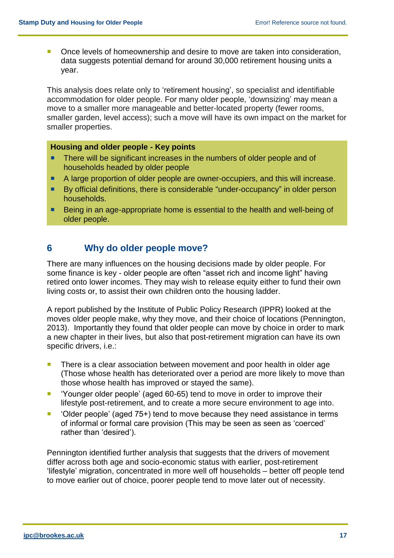■ Once levels of homeownership and desire to move are taken into consideration, data suggests potential demand for around 30,000 retirement housing units a year.

This analysis does relate only to 'retirement housing', so specialist and identifiable accommodation for older people. For many older people, 'downsizing' may mean a move to a smaller more manageable and better-located property (fewer rooms, smaller garden, level access); such a move will have its own impact on the market for smaller properties.

#### **Housing and older people - Key points**

- There will be significant increases in the numbers of older people and of households headed by older people
- A large proportion of older people are owner-occupiers, and this will increase.
- By official definitions, there is considerable "under-occupancy" in older person households.
- Being in an age-appropriate home is essential to the health and well-being of older people.

#### **6 Why do older people move?**

There are many influences on the housing decisions made by older people. For some finance is key - older people are often "asset rich and income light" having retired onto lower incomes. They may wish to release equity either to fund their own living costs or, to assist their own children onto the housing ladder.

A report published by the Institute of Public Policy Research (IPPR) looked at the moves older people make, why they move, and their choice of locations (Pennington, 2013). Importantly they found that older people can move by choice in order to mark a new chapter in their lives, but also that post-retirement migration can have its own specific drivers, i.e.:

- There is a clear association between movement and poor health in older age (Those whose health has deteriorated over a period are more likely to move than those whose health has improved or stayed the same).
- 'Younger older people' (aged 60-65) tend to move in order to improve their lifestyle post-retirement, and to create a more secure environment to age into.
- 'Older people' (aged 75+) tend to move because they need assistance in terms of informal or formal care provision (This may be seen as seen as 'coerced' rather than 'desired').

Pennington identified further analysis that suggests that the drivers of movement differ across both age and socio-economic status with earlier, post-retirement 'lifestyle' migration, concentrated in more well off households – better off people tend to move earlier out of choice, poorer people tend to move later out of necessity.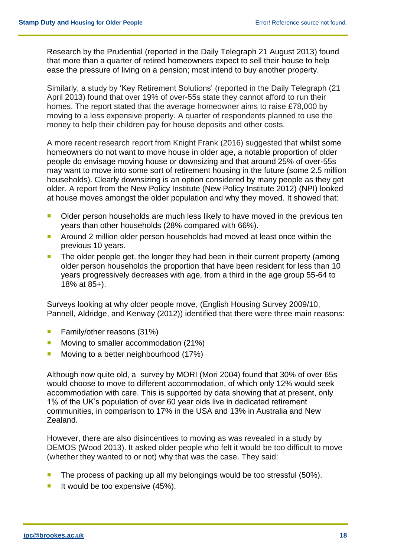Research by the Prudential (reported in the Daily Telegraph 21 August 2013) found that more than a quarter of retired homeowners expect to sell their house to help ease the pressure of living on a pension; most intend to buy another property.

Similarly, a study by 'Key Retirement Solutions' (reported in the Daily Telegraph (21 April 2013) found that over 19% of over-55s state they cannot afford to run their homes. The report stated that the average homeowner aims to raise £78,000 by moving to a less expensive property. A quarter of respondents planned to use the money to help their children pay for house deposits and other costs.

A more recent research report from Knight Frank (2016) suggested that whilst some homeowners do not want to move house in older age, a notable proportion of older people do envisage moving house or downsizing and that around 25% of over-55s may want to move into some sort of retirement housing in the future (some 2.5 million households). Clearly downsizing is an option considered by many people as they get older. A report from the New Policy Institute (New Policy Institute 2012) (NPI) looked at house moves amongst the older population and why they moved. It showed that:

- Older person households are much less likely to have moved in the previous ten years than other households (28% compared with 66%).
- **Around 2 million older person households had moved at least once within the** previous 10 years.
- The older people get, the longer they had been in their current property (among older person households the proportion that have been resident for less than 10 years progressively decreases with age, from a third in the age group 55-64 to 18% at 85+).

Surveys looking at why older people move, (English Housing Survey 2009/10, Pannell, Aldridge, and Kenway (2012)) identified that there were three main reasons:

- **Family/other reasons (31%)**
- **Moving to smaller accommodation (21%)**
- Moving to a better neighbourhood (17%)

Although now quite old, a survey by MORI (Mori 2004) found that 30% of over 65s would choose to move to different accommodation, of which only 12% would seek accommodation with care. This is supported by data showing that at present, only 1% of the UK's population of over 60 year olds live in dedicated retirement communities, in comparison to 17% in the USA and 13% in Australia and New Zealand.

However, there are also disincentives to moving as was revealed in a study by DEMOS (Wood 2013). It asked older people who felt it would be too difficult to move (whether they wanted to or not) why that was the case. They said:

- The process of packing up all my belongings would be too stressful (50%).
- If would be too expensive  $(45%)$ .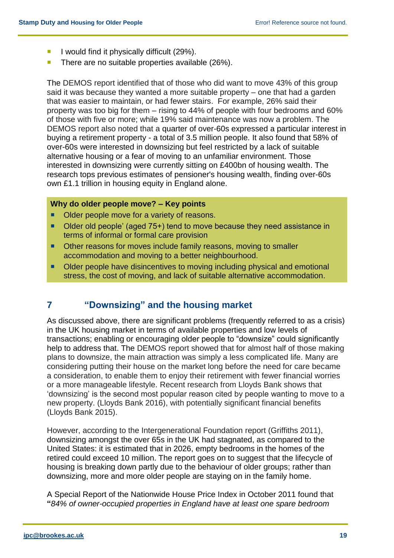- I would find it physically difficult  $(29\%)$ .
- There are no suitable properties available (26%).

The DEMOS report identified that of those who did want to move 43% of this group said it was because they wanted a more suitable property – one that had a garden that was easier to maintain, or had fewer stairs. For example, 26% said their property was too big for them – rising to 44% of people with four bedrooms and 60% of those with five or more; while 19% said maintenance was now a problem. The DEMOS report also noted that a quarter of over-60s expressed a particular interest in buying a retirement property - a total of 3.5 million people. It also found that 58% of over-60s were interested in downsizing but feel restricted by a lack of suitable alternative housing or a fear of moving to an unfamiliar environment. Those interested in downsizing were currently sitting on £400bn of housing wealth. The research tops previous estimates of pensioner's housing wealth, finding over-60s own £1.1 trillion in housing equity in England alone.

#### **Why do older people move? – Key points**

- Older people move for a variety of reasons.
- Older old people' (aged 75+) tend to move because they need assistance in terms of informal or formal care provision
- **D** Other reasons for moves include family reasons, moving to smaller accommodation and moving to a better neighbourhood.
- Older people have disincentives to moving including physical and emotional stress, the cost of moving, and lack of suitable alternative accommodation.

## **7 "Downsizing" and the housing market**

As discussed above, there are significant problems (frequently referred to as a crisis) in the UK housing market in terms of available properties and low levels of transactions; enabling or encouraging older people to "downsize" could significantly help to address that. The DEMOS report showed that for almost half of those making plans to downsize, the main attraction was simply a less complicated life. Many are considering putting their house on the market long before the need for care became a consideration, to enable them to enjoy their retirement with fewer financial worries or a more manageable lifestyle. Recent research from Lloyds Bank shows that 'downsizing' is the second most popular reason cited by people wanting to move to a new property. (Lloyds Bank 2016), with potentially significant financial benefits (Lloyds Bank 2015).

However, according to the Intergenerational Foundation report (Griffiths 2011), downsizing amongst the over 65s in the UK had stagnated, as compared to the United States: it is estimated that in 2026, empty bedrooms in the homes of the retired could exceed 10 million. The report goes on to suggest that the lifecycle of housing is breaking down partly due to the behaviour of older groups; rather than downsizing, more and more older people are staying on in the family home.

A Special Report of the Nationwide House Price Index in October 2011 found that **"***84% of owner-occupied properties in England have at least one spare bedroom*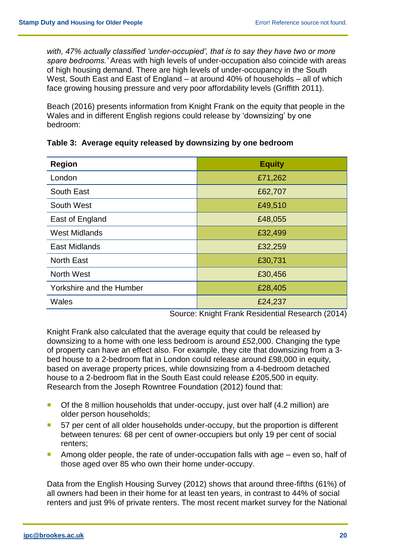*with, 47% actually classified 'under-occupied', that is to say they have two or more spare bedrooms.'* Areas with high levels of under-occupation also coincide with areas of high housing demand. There are high levels of under-occupancy in the South West, South East and East of England – at around 40% of households – all of which face growing housing pressure and very poor affordability levels (Griffith 2011).

Beach (2016) presents information from Knight Frank on the equity that people in the Wales and in different English regions could release by 'downsizing' by one bedroom:

| <b>Region</b>            | <b>Equity</b> |
|--------------------------|---------------|
| London                   | £71,262       |
| South East               | £62,707       |
| South West               | £49,510       |
| East of England          | £48,055       |
| <b>West Midlands</b>     | £32,499       |
| <b>East Midlands</b>     | £32,259       |
| <b>North East</b>        | £30,731       |
| North West               | £30,456       |
| Yorkshire and the Humber | £28,405       |
| Wales                    | £24,237       |

**Table 3: Average equity released by downsizing by one bedroom** 

Source: Knight Frank Residential Research (2014)

Knight Frank also calculated that the average equity that could be released by downsizing to a home with one less bedroom is around £52,000. Changing the type of property can have an effect also. For example, they cite that downsizing from a 3 bed house to a 2-bedroom flat in London could release around £98,000 in equity, based on average property prices, while downsizing from a 4-bedroom detached house to a 2-bedroom flat in the South East could release £205,500 in equity. Research from the Joseph Rowntree Foundation (2012) found that:

- Of the 8 million households that under-occupy, just over half (4.2 million) are older person households;
- 57 per cent of all older households under-occupy, but the proportion is different between tenures: 68 per cent of owner-occupiers but only 19 per cent of social renters;
- Among older people, the rate of under-occupation falls with age  $-$  even so, half of those aged over 85 who own their home under-occupy.

Data from the English Housing Survey (2012) shows that around three-fifths (61%) of all owners had been in their home for at least ten years, in contrast to 44% of social renters and just 9% of private renters. The most recent market survey for the National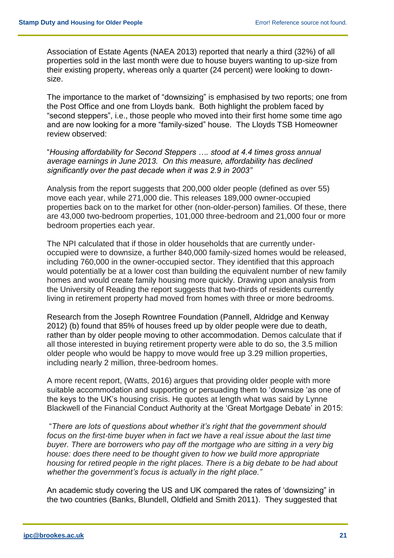Association of Estate Agents (NAEA 2013) reported that nearly a third (32%) of all properties sold in the last month were due to house buyers wanting to up-size from their existing property, whereas only a quarter (24 percent) were looking to downsize.

The importance to the market of "downsizing" is emphasised by two reports; one from the Post Office and one from Lloyds bank. Both highlight the problem faced by "second steppers", i.e., those people who moved into their first home some time ago and are now looking for a more "family-sized" house. The Lloyds TSB Homeowner review observed:

"*Housing affordability for Second Steppers …. stood at 4.4 times gross annual average earnings in June 2013. On this measure, affordability has declined significantly over the past decade when it was 2.9 in 2003"*

Analysis from the report suggests that 200,000 older people (defined as over 55) move each year, while 271,000 die. This releases 189,000 owner-occupied properties back on to the market for other (non-older-person) families. Of these, there are 43,000 two-bedroom properties, 101,000 three-bedroom and 21,000 four or more bedroom properties each year.

The NPI calculated that if those in older households that are currently underoccupied were to downsize, a further 840,000 family-sized homes would be released, including 760,000 in the owner-occupied sector. They identified that this approach would potentially be at a lower cost than building the equivalent number of new family homes and would create family housing more quickly. Drawing upon analysis from the University of Reading the report suggests that two-thirds of residents currently living in retirement property had moved from homes with three or more bedrooms.

Research from the Joseph Rowntree Foundation (Pannell, Aldridge and Kenway 2012) (b) found that 85% of houses freed up by older people were due to death, rather than by older people moving to other accommodation. Demos calculate that if all those interested in buying retirement property were able to do so, the 3.5 million older people who would be happy to move would free up 3.29 million properties, including nearly 2 million, three-bedroom homes.

A more recent report, (Watts, 2016) argues that providing older people with more suitable accommodation and supporting or persuading them to 'downsize 'as one of the keys to the UK's housing crisis. He quotes at length what was said by Lynne Blackwell of the Financial Conduct Authority at the 'Great Mortgage Debate' in 2015:

"*There are lots of questions about whether it's right that the government should*  focus on the first-time buyer when in fact we have a real issue about the last time *buyer. There are borrowers who pay off the mortgage who are sitting in a very big house: does there need to be thought given to how we build more appropriate housing for retired people in the right places. There is a big debate to be had about whether the government's focus is actually in the right place."*

An academic study covering the US and UK compared the rates of 'downsizing" in the two countries (Banks, Blundell, Oldfield and Smith 2011). They suggested that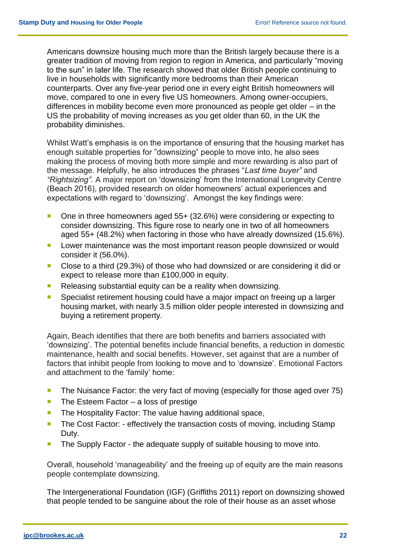Americans downsize housing much more than the British largely because there is a greater tradition of moving from region to region in America, and particularly "moving to the sun" in later life. The research showed that older British people continuing to live in households with significantly more bedrooms than their American counterparts. Over any five-year period one in every eight British homeowners will move, compared to one in every five US homeowners. Among owner-occupiers, differences in mobility become even more pronounced as people get older – in the US the probability of moving increases as you get older than 60, in the UK the probability diminishes.

Whilst Watt's emphasis is on the importance of ensuring that the housing market has enough suitable properties for "downsizing" people to move into, he also sees making the process of moving both more simple and more rewarding is also part of the message. Helpfully, he also introduces the phrases "*Last time buyer"* and *"Rightsizing".* A major report on 'downsizing' from the International Longevity Centre (Beach 2016), provided research on older homeowners' actual experiences and expectations with regard to 'downsizing'. Amongst the key findings were:

- One in three homeowners aged 55+ (32.6%) were considering or expecting to consider downsizing. This figure rose to nearly one in two of all homeowners aged 55+ (48.2%) when factoring in those who have already downsized (15.6%).
- **Lower maintenance was the most important reason people downsized or would** consider it (56.0%).
- Close to a third (29.3%) of those who had downsized or are considering it did or expect to release more than £100,000 in equity.
- Releasing substantial equity can be a reality when downsizing.
- **Specialist retirement housing could have a major impact on freeing up a larger** housing market, with nearly 3.5 million older people interested in downsizing and buying a retirement property.

Again, Beach identifies that there are both benefits and barriers associated with 'downsizing'. The potential benefits include financial benefits, a reduction in domestic maintenance, health and social benefits. However, set against that are a number of factors that inhibit people from looking to move and to 'downsize'. Emotional Factors and attachment to the 'family' home:

- The Nuisance Factor: the very fact of moving (especially for those aged over 75)
- The Esteem Factor a loss of prestige
- **The Hospitality Factor: The value having additional space,**
- The Cost Factor: effectively the transaction costs of moving, including Stamp Duty.
- The Supply Factor the adequate supply of suitable housing to move into.

Overall, household 'manageability' and the freeing up of equity are the main reasons people contemplate downsizing.

The Intergenerational Foundation (IGF) (Griffiths 2011) report on downsizing showed that people tended to be sanguine about the role of their house as an asset whose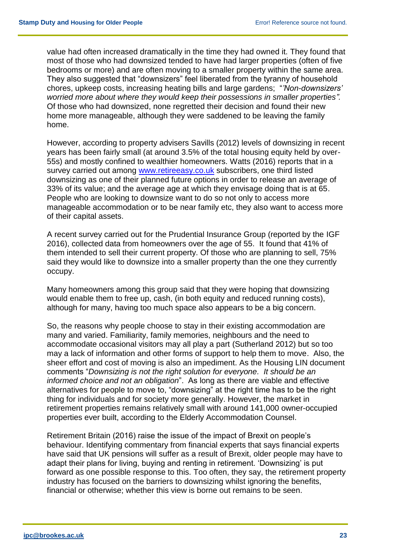value had often increased dramatically in the time they had owned it. They found that most of those who had downsized tended to have had larger properties (often of five bedrooms or more) and are often moving to a smaller property within the same area. They also suggested that "downsizers" feel liberated from the tyranny of household chores, upkeep costs, increasing heating bills and large gardens; "*'Non-downsizers' worried more about where they would keep their possessions in smaller properties".* Of those who had downsized, none regretted their decision and found their new home more manageable, although they were saddened to be leaving the family home.

However, according to property advisers Savills (2012) levels of downsizing in recent years has been fairly small (at around 3.5% of the total housing equity held by over-55s) and mostly confined to wealthier homeowners. Watts (2016) reports that in a survey carried out among [www.retireeasy.co.uk](https://www.retireeasy.co.uk/) subscribers, one third listed downsizing as one of their planned future options in order to release an average of 33% of its value; and the average age at which they envisage doing that is at 65. People who are looking to downsize want to do so not only to access more manageable accommodation or to be near family etc, they also want to access more of their capital assets.

A recent survey carried out for the Prudential Insurance Group (reported by the IGF 2016), collected data from homeowners over the age of 55. It found that 41% of them intended to sell their current property. Of those who are planning to sell, 75% said they would like to downsize into a smaller property than the one they currently occupy.

Many homeowners among this group said that they were hoping that downsizing would enable them to free up, cash, (in both equity and reduced running costs), although for many, having too much space also appears to be a big concern.

So, the reasons why people choose to stay in their existing accommodation are many and varied. Familiarity, family memories, neighbours and the need to accommodate occasional visitors may all play a part (Sutherland 2012) but so too may a lack of information and other forms of support to help them to move. Also, the sheer effort and cost of moving is also an impediment. As the Housing LIN document comments "*Downsizing is not the right solution for everyone. It should be an informed choice and not an obligation*". As long as there are viable and effective alternatives for people to move to, "downsizing" at the right time has to be the right thing for individuals and for society more generally. However, the market in retirement properties remains relatively small with around 141,000 owner-occupied properties ever built, according to the Elderly Accommodation Counsel.

Retirement Britain (2016) raise the issue of the impact of Brexit on people's behaviour. Identifying commentary from financial experts that says financial experts have said that UK pensions will suffer as a result of Brexit, older people may have to adapt their plans for living, buying and renting in retirement. 'Downsizing' is put forward as one possible response to this. Too often, they say, the retirement property industry has focused on the barriers to downsizing whilst ignoring the benefits, financial or otherwise; whether this view is borne out remains to be seen.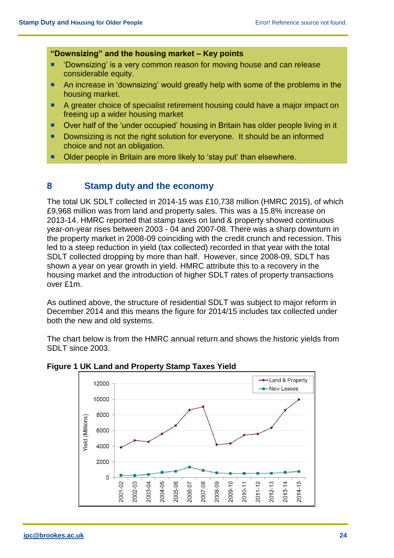#### **"Downsizing" and the housing market – Key points**

- **Downsizing' is a very common reason for moving house and can release** considerable equity.
- An increase in 'downsizing' would greatly help with some of the problems in the housing market.
- A greater choice of specialist retirement housing could have a major impact on freeing up a wider housing market
- Over half of the 'under occupied' housing in Britain has older people living in it
- Downsizing is not the right solution for everyone. It should be an informed choice and not an obligation.
- Older people in Britain are more likely to 'stay put' than elsewhere.

#### **8 Stamp duty and the economy**

The total UK SDLT collected in 2014-15 was £10,738 million (HMRC 2015), of which £9,968 million was from land and property sales. This was a 15.8% increase on 2013-14. HMRC reported that stamp taxes on land & property showed continuous year-on-year rises between 2003 - 04 and 2007-08. There was a sharp downturn in the property market in 2008-09 coinciding with the credit crunch and recession. This led to a steep reduction in yield (tax collected) recorded in that year with the total SDLT collected dropping by more than half. However, since 2008-09, SDLT has shown a year on year growth in yield. HMRC attribute this to a recovery in the housing market and the introduction of higher SDLT rates of property transactions over £1m.

As outlined above, the structure of residential SDLT was subject to major reform in December 2014 and this means the figure for 2014/15 includes tax collected under both the new and old systems.

The chart below is from the HMRC annual return and shows the historic yields from SDLT since 2003.



**Figure 1 UK Land and Property Stamp Taxes Yield**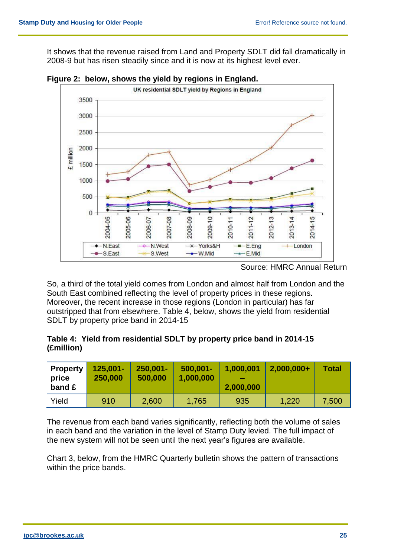It shows that the revenue raised from Land and Property SDLT did fall dramatically in 2008-9 but has risen steadily since and it is now at its highest level ever.



**Figure 2: below, shows the yield by regions in England.**

So, a third of the total yield comes from London and almost half from London and the South East combined reflecting the level of property prices in these regions. Moreover, the recent increase in those regions (London in particular) has far outstripped that from elsewhere. Table 4, below, shows the yield from residential SDLT by property price band in 2014-15

#### **Table 4: Yield from residential SDLT by property price band in 2014-15 (£million)**

| <b>Property</b><br>price<br>band £ | $125,001 -$<br>250,000 | $250,001 -$<br>500,000 | $500,001 -$<br>1,000,000 | 1,000,001<br>2,000,000 | $2,000,000+$ | <b>Total</b> |
|------------------------------------|------------------------|------------------------|--------------------------|------------------------|--------------|--------------|
| Yield                              | 910                    | 2,600                  | 1,765                    | 935                    | 1,220        | 7,500        |

The revenue from each band varies significantly, reflecting both the volume of sales in each band and the variation in the level of Stamp Duty levied. The full impact of the new system will not be seen until the next year's figures are available.

Chart 3, below, from the HMRC Quarterly bulletin shows the pattern of transactions within the price bands.

Source: HMRC Annual Return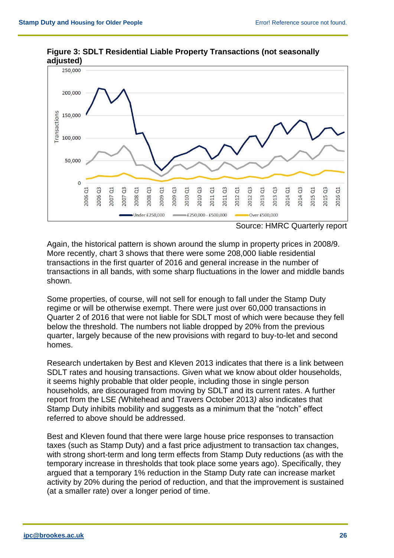

**Figure 3: SDLT Residential Liable Property Transactions (not seasonally adjusted)**

Source: HMRC Quarterly report

Again, the historical pattern is shown around the slump in property prices in 2008/9. More recently, chart 3 shows that there were some 208,000 liable residential transactions in the first quarter of 2016 and general increase in the number of transactions in all bands, with some sharp fluctuations in the lower and middle bands shown.

Some properties, of course, will not sell for enough to fall under the Stamp Duty regime or will be otherwise exempt. There were just over 60,000 transactions in Quarter 2 of 2016 that were not liable for SDLT most of which were because they fell below the threshold. The numbers not liable dropped by 20% from the previous quarter, largely because of the new provisions with regard to buy-to-let and second homes.

Research undertaken by Best and Kleven 2013 indicates that there is a link between SDLT rates and housing transactions. Given what we know about older households, it seems highly probable that older people, including those in single person households, are discouraged from moving by SDLT and its current rates. A further report from the LSE *(*Whitehead and Travers October 2013*)* also indicates that Stamp Duty inhibits mobility and suggests as a minimum that the "notch" effect referred to above should be addressed.

Best and Kleven found that there were large house price responses to transaction taxes (such as Stamp Duty) and a fast price adjustment to transaction tax changes, with strong short-term and long term effects from Stamp Duty reductions (as with the temporary increase in thresholds that took place some years ago). Specifically, they argued that a temporary 1% reduction in the Stamp Duty rate can increase market activity by 20% during the period of reduction, and that the improvement is sustained (at a smaller rate) over a longer period of time.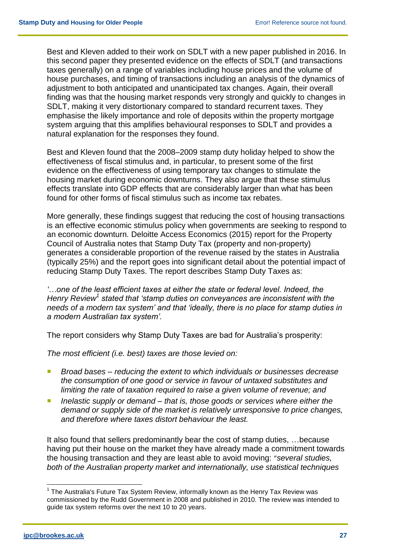Best and Kleven added to their work on SDLT with a new paper published in 2016. In this second paper they presented evidence on the effects of SDLT (and transactions taxes generally) on a range of variables including house prices and the volume of house purchases, and timing of transactions including an analysis of the dynamics of adjustment to both anticipated and unanticipated tax changes. Again, their overall finding was that the housing market responds very strongly and quickly to changes in SDLT, making it very distortionary compared to standard recurrent taxes. They emphasise the likely importance and role of deposits within the property mortgage system arguing that this amplifies behavioural responses to SDLT and provides a natural explanation for the responses they found.

Best and Kleven found that the 2008–2009 stamp duty holiday helped to show the effectiveness of fiscal stimulus and, in particular, to present some of the first evidence on the effectiveness of using temporary tax changes to stimulate the housing market during economic downturns. They also argue that these stimulus effects translate into GDP effects that are considerably larger than what has been found for other forms of fiscal stimulus such as income tax rebates.

More generally, these findings suggest that reducing the cost of housing transactions is an effective economic stimulus policy when governments are seeking to respond to an economic downturn. Deloitte Access Economics (2015) report for the Property Council of Australia notes that Stamp Duty Tax (property and non-property) generates a considerable proportion of the revenue raised by the states in Australia (typically 25%) and the report goes into significant detail about the potential impact of reducing Stamp Duty Taxes. The report describes Stamp Duty Taxes as:

*'…one of the least efficient taxes at either the state or federal level. Indeed, the Henry Review<sup>1</sup> stated that 'stamp duties on conveyances are inconsistent with the needs of a modern tax system' and that 'ideally, there is no place for stamp duties in a modern Australian tax system'.*

The report considers why Stamp Duty Taxes are bad for Australia's prosperity:

*The most efficient (i.e. best) taxes are those levied on:*

- *Broad bases – reducing the extent to which individuals or businesses decrease the consumption of one good or service in favour of untaxed substitutes and limiting the rate of taxation required to raise a given volume of revenue; and*
- *Inelastic supply or demand – that is, those goods or services where either the demand or supply side of the market is relatively unresponsive to price changes, and therefore where taxes distort behaviour the least.*

It also found that sellers predominantly bear the cost of stamp duties, …because having put their house on the market they have already made a commitment towards the housing transaction and they are least able to avoid moving: "*several studies, both of the Australian property market and internationally, use statistical techniques* 

 $\overline{a}$ 

 $1$  The Australia's Future Tax System Review, informally known as the Henry Tax Review was commissioned by the Rudd Government in 2008 and published in 2010. The review was intended to guide tax system reforms over the next 10 to 20 years.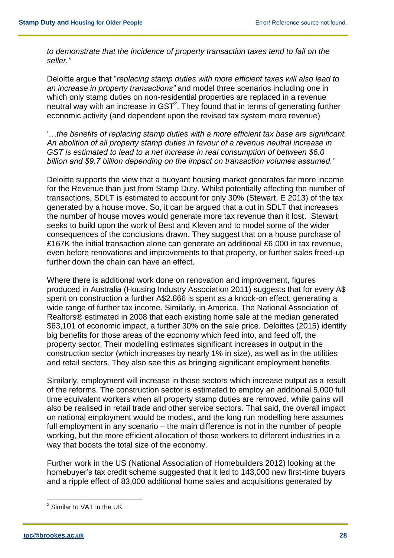*to demonstrate that the incidence of property transaction taxes tend to fall on the seller."*

Deloitte argue that "*replacing stamp duties with more efficient taxes will also lead to an increase in property transactions"* and model three scenarios including one in which only stamp duties on non-residential properties are replaced in a revenue neutral way with an increase in  $\textsf{SST}^2$ . They found that in terms of generating further economic activity (and dependent upon the revised tax system more revenue)

'…*the benefits of replacing stamp duties with a more efficient tax base are significant. An abolition of all property stamp duties in favour of a revenue neutral increase in GST is estimated to lead to a net increase in real consumption of between \$6.0 billion and \$9.7 billion depending on the impact on transaction volumes assumed.'*

Deloitte supports the view that a buoyant housing market generates far more income for the Revenue than just from Stamp Duty. Whilst potentially affecting the number of transactions, SDLT is estimated to account for only 30% (Stewart, E 2013) of the tax generated by a house move. So, it can be argued that a cut in SDLT that increases the number of house moves would generate more tax revenue than it lost. Stewart seeks to build upon the work of Best and Kleven and to model some of the wider consequences of the conclusions drawn. They suggest that on a house purchase of £167K the initial transaction alone can generate an additional £6,000 in tax revenue, even before renovations and improvements to that property, or further sales freed-up further down the chain can have an effect.

Where there is additional work done on renovation and improvement, figures produced in Australia (Housing Industry Association 2011) suggests that for every A\$ spent on construction a further A\$2.866 is spent as a knock-on effect, generating a wide range of further tax income. Similarly, in America, The National Association of Realtors® estimated in 2008 that each existing home sale at the median generated \$63,101 of economic impact, a further 30% on the sale price. Deloittes (2015) identify big benefits for those areas of the economy which feed into, and feed off, the property sector. Their modelling estimates significant increases in output in the construction sector (which increases by nearly 1% in size), as well as in the utilities and retail sectors. They also see this as bringing significant employment benefits.

Similarly, employment will increase in those sectors which increase output as a result of the reforms. The construction sector is estimated to employ an additional 5,000 full time equivalent workers when all property stamp duties are removed, while gains will also be realised in retail trade and other service sectors. That said, the overall impact on national employment would be modest, and the long run modelling here assumes full employment in any scenario – the main difference is not in the number of people working, but the more efficient allocation of those workers to different industries in a way that boosts the total size of the economy.

Further work in the US (National Association of Homebuilders 2012) looking at the homebuyer's tax credit scheme suggested that it led to 143,000 new first-time buyers and a ripple effect of 83,000 additional home sales and acquisitions generated by

 2 Similar to VAT in the UK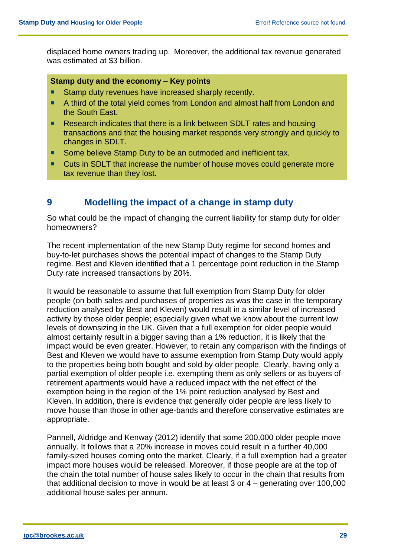displaced home owners trading up. Moreover, the additional tax revenue generated was estimated at \$3 billion.

#### **Stamp duty and the economy – Key points**

- Stamp duty revenues have increased sharply recently.
- A third of the total yield comes from London and almost half from London and the South East.
- Research indicates that there is a link between SDLT rates and housing transactions and that the housing market responds very strongly and quickly to changes in SDLT.
- Some believe Stamp Duty to be an outmoded and inefficient tax.
- Cuts in SDLT that increase the number of house moves could generate more tax revenue than they lost.

#### **9 Modelling the impact of a change in stamp duty**

So what could be the impact of changing the current liability for stamp duty for older homeowners?

The recent implementation of the new Stamp Duty regime for second homes and buy-to-let purchases shows the potential impact of changes to the Stamp Duty regime. Best and Kleven identified that a 1 percentage point reduction in the Stamp Duty rate increased transactions by 20%.

It would be reasonable to assume that full exemption from Stamp Duty for older people (on both sales and purchases of properties as was the case in the temporary reduction analysed by Best and Kleven) would result in a similar level of increased activity by those older people; especially given what we know about the current low levels of downsizing in the UK. Given that a full exemption for older people would almost certainly result in a bigger saving than a 1% reduction, it is likely that the impact would be even greater. However, to retain any comparison with the findings of Best and Kleven we would have to assume exemption from Stamp Duty would apply to the properties being both bought and sold by older people. Clearly, having only a partial exemption of older people i.e. exempting them as only sellers or as buyers of retirement apartments would have a reduced impact with the net effect of the exemption being in the region of the 1% point reduction analysed by Best and Kleven. In addition, there is evidence that generally older people are less likely to move house than those in other age-bands and therefore conservative estimates are appropriate.

Pannell, Aldridge and Kenway (2012) identify that some 200,000 older people move annually. It follows that a 20% increase in moves could result in a further 40,000 family-sized houses coming onto the market. Clearly, if a full exemption had a greater impact more houses would be released. Moreover, if those people are at the top of the chain the total number of house sales likely to occur in the chain that results from that additional decision to move in would be at least 3 or 4 – generating over 100,000 additional house sales per annum.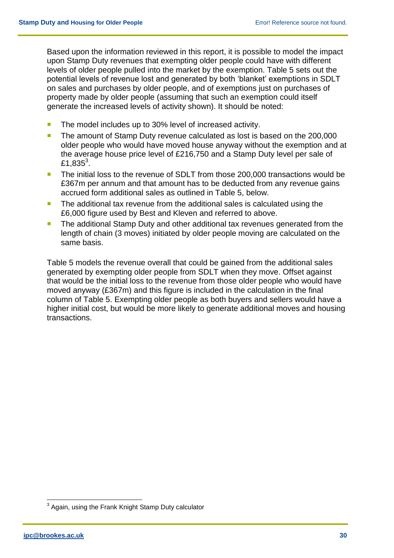Based upon the information reviewed in this report, it is possible to model the impact upon Stamp Duty revenues that exempting older people could have with different levels of older people pulled into the market by the exemption. Table 5 sets out the potential levels of revenue lost and generated by both 'blanket' exemptions in SDLT on sales and purchases by older people, and of exemptions just on purchases of property made by older people (assuming that such an exemption could itself generate the increased levels of activity shown). It should be noted:

- The model includes up to 30% level of increased activity.
- The amount of Stamp Duty revenue calculated as lost is based on the 200,000 older people who would have moved house anyway without the exemption and at the average house price level of £216,750 and a Stamp Duty level per sale of £1,835 $^3$ .
- The initial loss to the revenue of SDLT from those 200,000 transactions would be £367m per annum and that amount has to be deducted from any revenue gains accrued form additional sales as outlined in Table 5, below.
- **The additional tax revenue from the additional sales is calculated using the** £6,000 figure used by Best and Kleven and referred to above.
- **The additional Stamp Duty and other additional tax revenues generated from the** length of chain (3 moves) initiated by older people moving are calculated on the same basis.

Table 5 models the revenue overall that could be gained from the additional sales generated by exempting older people from SDLT when they move. Offset against that would be the initial loss to the revenue from those older people who would have moved anyway (£367m) and this figure is included in the calculation in the final column of Table 5. Exempting older people as both buyers and sellers would have a higher initial cost, but would be more likely to generate additional moves and housing transactions.

 $\overline{a}$ 

 $3$  Again, using the Frank Knight Stamp Duty calculator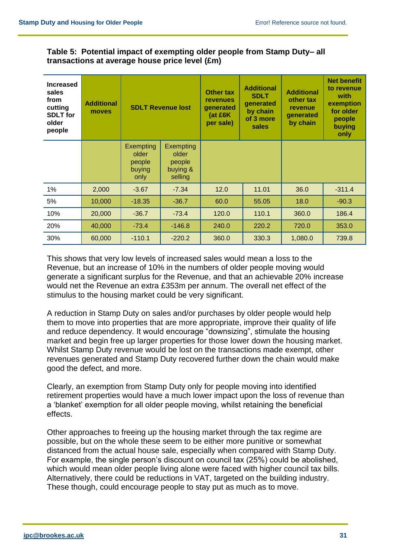#### **Table 5: Potential impact of exempting older people from Stamp Duty– all transactions at average house price level (£m)**

| <b>Increased</b><br>sales<br>from<br>cutting<br><b>SDLT</b> for<br>older<br>people | <b>Additional</b><br>moves | <b>SDLT Revenue lost</b>                              |                                                            | <b>Other tax</b><br>revenues<br>generated<br>(at £6K<br>per sale) | <b>Additional</b><br><b>SDLT</b><br>generated<br>by chain<br>of 3 more<br>sales | <b>Additional</b><br>other tax<br>revenue<br>generated<br>by chain | <b>Net benefit</b><br>to revenue<br>with<br>exemption<br>for older<br>people<br>buying<br>only |
|------------------------------------------------------------------------------------|----------------------------|-------------------------------------------------------|------------------------------------------------------------|-------------------------------------------------------------------|---------------------------------------------------------------------------------|--------------------------------------------------------------------|------------------------------------------------------------------------------------------------|
|                                                                                    |                            | <b>Exempting</b><br>older<br>people<br>buying<br>only | <b>Exempting</b><br>older<br>people<br>buying &<br>selling |                                                                   |                                                                                 |                                                                    |                                                                                                |
| 1%                                                                                 | 2,000                      | $-3.67$                                               | $-7.34$                                                    | 12.0                                                              | 11.01                                                                           | 36.0                                                               | $-311.4$                                                                                       |
| 5%                                                                                 | 10,000                     | $-18.35$                                              | $-36.7$                                                    | 60.0                                                              | 55.05                                                                           | 18.0                                                               | $-90.3$                                                                                        |
| 10%                                                                                | 20,000                     | $-36.7$                                               | $-73.4$                                                    | 120.0                                                             | 110.1                                                                           | 360.0                                                              | 186.4                                                                                          |
| 20%                                                                                | 40,000                     | $-73.4$                                               | $-146.8$                                                   | 240.0                                                             | 220.2                                                                           | 720.0                                                              | 353.0                                                                                          |
| 30%                                                                                | 60,000                     | $-110.1$                                              | $-220.2$                                                   | 360.0                                                             | 330.3                                                                           | 1,080.0                                                            | 739.8                                                                                          |

This shows that very low levels of increased sales would mean a loss to the Revenue, but an increase of 10% in the numbers of older people moving would generate a significant surplus for the Revenue, and that an achievable 20% increase would net the Revenue an extra £353m per annum. The overall net effect of the stimulus to the housing market could be very significant.

A reduction in Stamp Duty on sales and/or purchases by older people would help them to move into properties that are more appropriate, improve their quality of life and reduce dependency. It would encourage "downsizing", stimulate the housing market and begin free up larger properties for those lower down the housing market. Whilst Stamp Duty revenue would be lost on the transactions made exempt, other revenues generated and Stamp Duty recovered further down the chain would make good the defect, and more.

Clearly, an exemption from Stamp Duty only for people moving into identified retirement properties would have a much lower impact upon the loss of revenue than a 'blanket' exemption for all older people moving, whilst retaining the beneficial effects.

Other approaches to freeing up the housing market through the tax regime are possible, but on the whole these seem to be either more punitive or somewhat distanced from the actual house sale, especially when compared with Stamp Duty. For example, the single person's discount on council tax (25%) could be abolished, which would mean older people living alone were faced with higher council tax bills. Alternatively, there could be reductions in VAT, targeted on the building industry. These though, could encourage people to stay put as much as to move.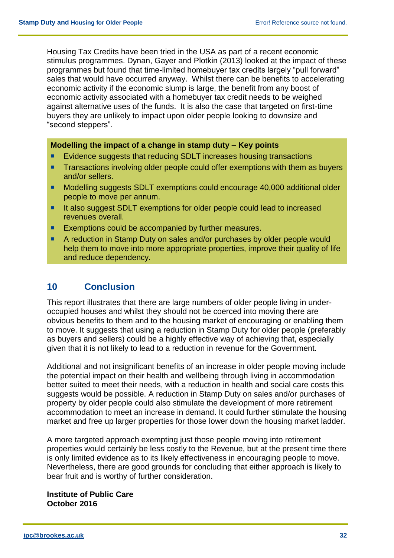Housing Tax Credits have been tried in the USA as part of a recent economic stimulus programmes. Dynan, Gayer and Plotkin (2013) looked at the impact of these programmes but found that time-limited homebuyer tax credits largely "pull forward" sales that would have occurred anyway. Whilst there can be benefits to accelerating economic activity if the economic slump is large, the benefit from any boost of economic activity associated with a homebuyer tax credit needs to be weighed against alternative uses of the funds. It is also the case that targeted on first-time buyers they are unlikely to impact upon older people looking to downsize and "second steppers".

#### **Modelling the impact of a change in stamp duty – Key points**

- Evidence suggests that reducing SDLT increases housing transactions
- **Transactions involving older people could offer exemptions with them as buyers** and/or sellers.
- Modelling suggests SDLT exemptions could encourage 40,000 additional older people to move per annum.
- It also suggest SDLT exemptions for older people could lead to increased revenues overall.
- Exemptions could be accompanied by further measures.
- A reduction in Stamp Duty on sales and/or purchases by older people would help them to move into more appropriate properties, improve their quality of life and reduce dependency.

#### **10 Conclusion**

This report illustrates that there are large numbers of older people living in underoccupied houses and whilst they should not be coerced into moving there are obvious benefits to them and to the housing market of encouraging or enabling them to move. It suggests that using a reduction in Stamp Duty for older people (preferably as buyers and sellers) could be a highly effective way of achieving that, especially given that it is not likely to lead to a reduction in revenue for the Government.

Additional and not insignificant benefits of an increase in older people moving include the potential impact on their health and wellbeing through living in accommodation better suited to meet their needs, with a reduction in health and social care costs this suggests would be possible. A reduction in Stamp Duty on sales and/or purchases of property by older people could also stimulate the development of more retirement accommodation to meet an increase in demand. It could further stimulate the housing market and free up larger properties for those lower down the housing market ladder.

A more targeted approach exempting just those people moving into retirement properties would certainly be less costly to the Revenue, but at the present time there is only limited evidence as to its likely effectiveness in encouraging people to move. Nevertheless, there are good grounds for concluding that either approach is likely to bear fruit and is worthy of further consideration.

**Institute of Public Care October 2016**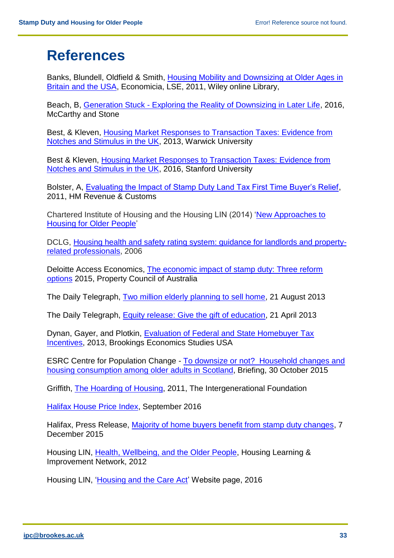## **References**

Banks, Blundell, Oldfield & Smith, [Housing Mobility and Downsizing at Older Ages in](http://onlinelibrary.wiley.com/doi/10.1111/j.1468-0335.2011.00878.x/abstract)  [Britain and the USA,](http://onlinelibrary.wiley.com/doi/10.1111/j.1468-0335.2011.00878.x/abstract) Economicia, LSE, 2011, Wiley online Library,

Beach, B, Generation Stuck - [Exploring the Reality of Downsizing in Later Life,](https://f844205396e0071c41b9-a33e598b21c2445c4eca86a9b4f92e58.ssl.cf3.rackcdn.com/ILC-downsizing-report.pdf) 2016, McCarthy and Stone

Best, & Kleven, [Housing Market Responses to Transaction Taxes: Evidence from](http://economics.mit.edu/files/9485) [Notches and Stimulus in the UK,](http://economics.mit.edu/files/9485) 2013, Warwick University

Best & Kleven, [Housing Market Responses to Transaction Taxes: Evidence from](https://web.stanford.edu/~mbest/best-kleven_landnotches_feb2016.pdf) [Notches and Stimulus in the UK,](https://web.stanford.edu/~mbest/best-kleven_landnotches_feb2016.pdf) 2016, Stanford University

Bolster, A, [Evaluating the Impact of Stamp Duty Land Tax First Time Buyer's Relief,](https://www.gov.uk/government/uploads/system/uploads/attachment_data/file/331717/sdlt-ftb-workingpaper.pdf) 2011, HM Revenue & Customs

Chartered Institute of Housing and the Housing LIN (2014) ['New Approaches to](http://www.cih.org/resources/PDF/Policy%20free%20download%20pdfs/New%20approaches%20to%20delivering%20better%20housing%20options%20for%20older%20people.pdf)  [Housing for Older People'](http://www.cih.org/resources/PDF/Policy%20free%20download%20pdfs/New%20approaches%20to%20delivering%20better%20housing%20options%20for%20older%20people.pdf)

DCLG, [Housing health and safety rating system: guidance for landlords and property](https://www.gov.uk/government/uploads/system/uploads/attachment_data/file/9425/150940.pdf)[related professionals,](https://www.gov.uk/government/uploads/system/uploads/attachment_data/file/9425/150940.pdf) 2006

Deloitte Access Economics, The economic impact of stamp duty: Three reform [options](https://www2.deloitte.com/content/dam/Deloitte/au/Documents/Economics/deloitte-au-economics-impact-stamp-duty-reform-options.pdf) 2015, Property Council of Australia

The Daily Telegraph, [Two million elderly planning to sell home,](http://www.telegraph.co.uk/property/propertynews/10255271/Two-million-elderly-planning-to-sell-home.html) 21 August 2013

The Daily Telegraph, [Equity release: Give the gift of education,](http://www.telegraph.co.uk/financialservices/equity-release-service/10315006/Equity-Release-Give-the-gift-of-education.html) 21 April 2013

Dynan, Gayer, and Plotkin, [Evaluation of Federal and State Homebuyer Tax](https://www.brookings.edu/wp-content/uploads/2016/06/28_homebuyer_tax_incentives_dynan_gayer2.pdf)  **[Incentives,](https://www.brookings.edu/wp-content/uploads/2016/06/28_homebuyer_tax_incentives_dynan_gayer2.pdf) 2013, Brookings Economics Studies USA** 

ESRC Centre for Population Change - [To downsize or not? Household changes and](http://www.cpc.ac.uk/publications/cpc_briefing_papers/pdf/BP30_To_downsize_or_not_household_changes_and_housing_consumption_among_older_adults_in-Scotland.pdf)  [housing consumption among older](http://www.cpc.ac.uk/publications/cpc_briefing_papers/pdf/BP30_To_downsize_or_not_household_changes_and_housing_consumption_among_older_adults_in-Scotland.pdf) adults in Scotland, Briefing, 30 October 2015

Griffith, [The Hoarding of Housing,](http://www.if.org.uk/wp-content/uploads/2011/10/IF_Housing_Defin_Report_19oct.pdf) 2011, The Intergenerational Foundation

[Halifax House Price Index,](http://www.halifax.co.uk/house-price-index/) September 2016

Halifax, Press Release, [Majority of home buyers benefit from stamp duty changes,](http://static.halifax.co.uk/assets/pdf/mortgages/pdf/Majority-of-home-buyers-benefit-from-stamp-duty-changes-7th-December-2015-Housing-Release.pdf) 7 December 2015

Housing LIN, [Health, Wellbeing, and the Older People,](https://ipc.brookes.ac.uk/publications/HWB_and_the_Older_People_Housing_Agenda.pdf) Housing Learning & Improvement Network, 2012

Housing LIN, ['Housing and the Care Act'](http://www.housinglin.org.uk/Topics/browse/HousingExtraCare/ExtraCareProvision/SupportServices/?parent=990&child=9366) Website page, 2016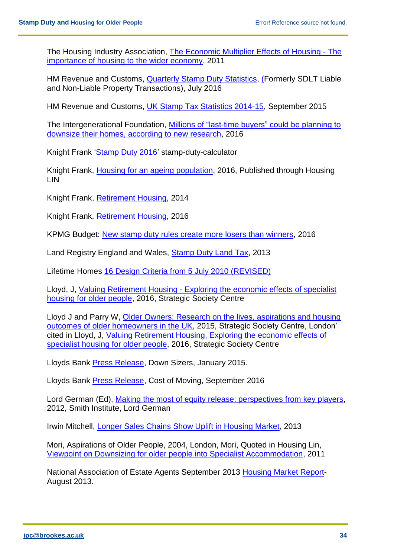The Housing Industry Association, [The Economic Multiplier Effects of Housing -](http://economics.hia.com.au/media/The%20Economic%20Multiplier%20Effects%20of%20Housing%202011.pdf) The [importance of housing to the wider economy,](http://economics.hia.com.au/media/The%20Economic%20Multiplier%20Effects%20of%20Housing%202011.pdf) 2011

HM Revenue and Customs, [Quarterly Stamp Duty Statistics,](https://www.gov.uk/government/uploads/system/uploads/attachment_data/file/541297/Quarterly_SDLT_Jul_2016_circ.pdf) (Formerly SDLT Liable and Non-Liable Property Transactions), July 2016

HM Revenue and Customs, [UK Stamp Tax Statistics 2014-15,](https://www.gov.uk/government/uploads/system/uploads/attachment_data/file/464298/AnnualStampTaxes-Release-Sep15.pdf) September 2015

The Intergenerational Foundation, Millions of "last-time buyers" could be planning to [downsize their homes, according to new research,](http://www.if.org.uk/archives/5783/millions-of-last-time-buyers-could-be-planning-to-downsize-their-homes-according-to-new-research) 2016

Knight Frank ['Stamp Duty 2016'](http://www.knightfrank.co.uk/stamp-duty-calculator) stamp-duty-calculator

Knight Frank, [Housing for an ageing population,](http://www.housinglin.org.uk/_library/Resources/Housing/OtherOrganisation/KF_Retirement_Housing_2016.pdf) 2016, Published through Housing LIN

Knight Frank, [Retirement Housing,](http://content.knightfrank.com/research/696/documents/en/retirement-housing-2014-2388.pdf) 2014

Knight Frank, [Retirement](http://content.knightfrank.com/research/696/documents/en/2016-3770.pdf) Housing, 2016

KPMG Budget: [New stamp duty rules create more losers than winners,](file:///C:/Users/Pteverso/AppData/Local/Microsoft/Windows/Temporary%20Internet%20Files/Content.Outlook/Z1WVTB7T/‘https:/home.kpmg.com/uk/en/home/media/press-releases/2016/03/budget-2016-new-stamp-duty-rules-create-more-losers-than-winners.html) 2016

Land Registry England and Wales, [Stamp Duty Land Tax,](http://www.landregistry.gov.uk/professional/law-and-practice/stamp-duty-land-tax) 2013

Lifetime Homes [16 Design Criteria from 5 July 2010 \(REVISED\)](http://www.lifetimehomes.org.uk/pages/revised-design-criteria.html)

Lloyd, J, [Valuing Retirement Housing](http://strategicsociety.org.uk/wp-content/uploads/2016/08/Valuing-Retirement-Housing.pdf) - Exploring the economic effects of specialist [housing for older people,](http://strategicsociety.org.uk/wp-content/uploads/2016/08/Valuing-Retirement-Housing.pdf) 2016, Strategic Society Centre

Lloyd J and Parry W, [Older Owners: Research on the lives, aspirations and housing](http://strategicsociety.org.uk/wp-content/uploads/2015/10/Older-Owners.pdf)  [outcomes of older homeowners in the UK,](http://strategicsociety.org.uk/wp-content/uploads/2015/10/Older-Owners.pdf) 2015, Strategic Society Centre, London' cited in Lloyd, J, [Valuing Retirement Housing, Exploring the economic](http://strategicsociety.org.uk/wp-content/uploads/2016/08/Valuing-Retirement-Housing.pdf) effects of [specialist housing for older people,](http://strategicsociety.org.uk/wp-content/uploads/2016/08/Valuing-Retirement-Housing.pdf) 2016, Strategic Society Centre

Lloyds Bank [Press Release,](http://www.lloydsbankinggroup.com/Media/Press-Releases/2015/lloyds-bank/downsizers/) Down Sizers, January 2015.

Lloyds Bank [Press Release,](http://www.lloydsbankinggroup.com/Media/Press-Releases/2016-press-releases/lloyds-bank/cost-of-moving/) Cost of Moving, September 2016

Lord German (Ed), Making [the most of equity release: perspectives from key players,](http://www.smith-institute.org.uk/file/Making%20the%20Most%20of%20Equity%20Release.pdf) 2012, Smith Institute, Lord German

Irwin Mitchell, [Longer Sales Chains Show Uplift in Housing Market,](http://www.irwinmitchell.com/) 2013

Mori, Aspirations of Older People, 2004, London, Mori, Quoted in Housing Lin, [Viewpoint on Downsizing for older people into Specialist Accommodation,](http://www.housinglin.org.uk/_library/Resources/Housing/Support_materials/Viewpoints/Viewpoint19_Downsizing_II.pdf) 2011

National Association of Estate Agents September 2013 Housing [Market Report-](http://www.naea.co.uk/media/321773/naea_housing_market_report_-_september.pdf)August 2013.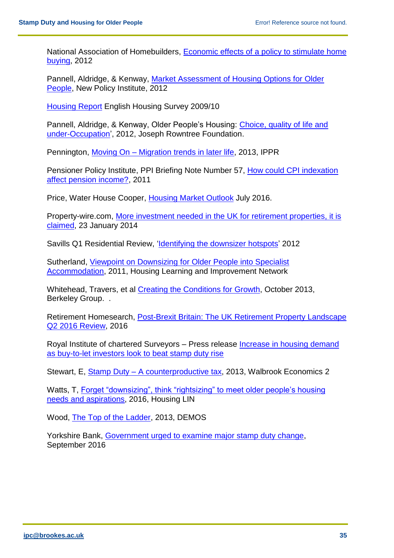National Association of Homebuilders, **Economic effects of a policy to stimulate home** [buying,](http://www.nahb.org)/) 2012

Pannell, Aldridge, & Kenway, [Market Assessment of Housing Options for Older](http://npi.org.uk/files/5213/7485/1289/Market_Assessment_of_Housing_Options_for_Older_People.pdf)  [People,](http://npi.org.uk/files/5213/7485/1289/Market_Assessment_of_Housing_Options_for_Older_People.pdf) New Policy Institute, 2012

[Housing Report](https://www.gov.uk/government/publications/english-housing-survey-2009-to-2010-household-report) English Housing Survey 2009/10

Pannell, Aldridge, & Kenway, Older People's Housing: Choice, quality of life and [under-Occupation'](http://npi.org.uk/files/5213/7485/1289/Market_Assessment_of_Housing_Options_for_Older_People.pdf), 2012, Joseph Rowntree Foundation.

Pennington, [Moving On –](http://www.ippr.org/files/images/media/files/publication/2013/06/moving-on-older-people_June2013_10898.pdf?noredirect=1) Migration trends in later life, 2013, IPPR

Pensioner Policy Institute, PPI Briefing Note Number 57, [How could CPI indexation](https://www.pensionspolicyinstitute.org.uk/uploadeddocuments/Briefing%20Notes/PPI_Briefing_Note_57_-_How_could_CPI_indexation_affect_pension_income_Jan2011.pdf)  [affect pension income?,](https://www.pensionspolicyinstitute.org.uk/uploadeddocuments/Briefing%20Notes/PPI_Briefing_Note_57_-_How_could_CPI_indexation_affect_pension_income_Jan2011.pdf) 2011

Price, Water House Cooper, [Housing Market Outlook](https://www.pwc.co.uk/assets/pdf/ukeo/ukeo-july-2016-housing-market-outlook.pdf) July 2016.

Property-wire.com, More [investment needed in the UK for retirement properties, it is](http://www.propertywire.com/news/europe/uk-retirement-property-homes/)  [claimed,](http://www.propertywire.com/news/europe/uk-retirement-property-homes/) 23 January 2014

Savills Q1 Residential Review, ['Identifying the downsizer](http://www.savills.co.uk/promotions/savills-research---residential-property-focus-q1-2013.aspx) hotspots' 2012

Sutherland, [Viewpoint on Downsizing for](http://www.housinglin.org.uk/_library/Resources/Housing/Support_materials/Viewpoints/Viewpoint19_Downsizing_II.pdf) Older People into Specialist [Accommodation,](http://www.housinglin.org.uk/_library/Resources/Housing/Support_materials/Viewpoints/Viewpoint19_Downsizing_II.pdf) 2011, Housing Learning and Improvement Network

Whitehead, Travers, et al [Creating the Conditions for](http://www.berkeleygroup.co.uk/media/pdf/g/o/Creating_the_Conditions_for_Growth.pdf) Growth, October 2013, Berkeley Group. .

Retirement Homesearch, Post-Brexit Britain: The UK Retirement Property Landscape [Q2 2016 Review,](http://www.retirementhomesearch.co.uk/images/pdf/Retirement%20Homesearch%20Quarter%202%20Review%202016.pdf) 2016

Royal Institute of chartered Surveyors – Press release [Increase in housing demand](http://www.rics.org/uk/news/news-insight/press-releases/rics-uk-residential-market-survey-december-2015/)  [as buy-to-let investors look to beat stamp duty rise](http://www.rics.org/uk/news/news-insight/press-releases/rics-uk-residential-market-survey-december-2015/)

Stewart, E, Stamp Duty – [A counterproductive tax,](https://d3n8a8pro7vhmx.cloudfront.net/taxpayersalliance/pages/448/attachments/original/1436279460/stampdutymodelling.pdf?1436279460) 2013, Walbrook Economics 2

Watts, T, [Forget "downsizing", think "rightsizing" to meet older](http://www.housinglin.org.uk/_library/Resources/Housing/Support_materials/Viewpoints/HLIN_Viewpoint_76_Rightsizing.pdf) people's housing [needs and aspirations,](http://www.housinglin.org.uk/_library/Resources/Housing/Support_materials/Viewpoints/HLIN_Viewpoint_76_Rightsizing.pdf) 2016, Housing LIN

Wood, [The Top of the Ladder,](http://www.demos.co.uk/files/TopoftheLadder-web.pdf) 2013, DEMOS

Yorkshire Bank, Government [urged to examine major stamp duty change,](http://www.ybs.co.uk/media-centre/government-urged-to-examine-major-stamp-duty.html) September 2016